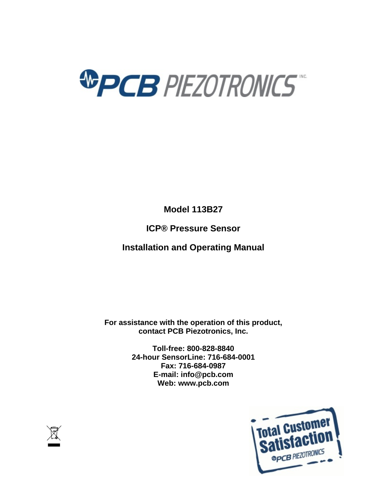

**Model 113B27**

**ICP® Pressure Sensor**

**Installation and Operating Manual**

**For assistance with the operation of this product, contact PCB Piezotronics, Inc.**

> **Toll-free: 800-828-8840 24-hour SensorLine: 716-684-0001 Fax: 716-684-0987 E-mail: info@pcb.com Web: www.pcb.com**



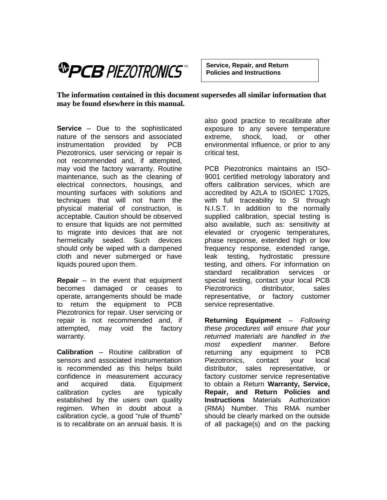# *®PCB PIEZOTRONICS*

**Service, Repair, and Return Policies and Instructions**

**The information contained in this document supersedes all similar information that may be found elsewhere in this manual.** 

**Service** – Due to the sophisticated nature of the sensors and associated instrumentation provided by PCB Piezotronics, user servicing or repair is not recommended and, if attempted, may void the factory warranty. Routine maintenance, such as the cleaning of electrical connectors, housings, and mounting surfaces with solutions and techniques that will not harm the physical material of construction, is acceptable. Caution should be observed to ensure that liquids are not permitted to migrate into devices that are not hermetically sealed. Such devices should only be wiped with a dampened cloth and never submerged or have liquids poured upon them.

**Repair** – In the event that equipment becomes damaged or ceases to operate, arrangements should be made to return the equipment to PCB Piezotronics for repair. User servicing or repair is not recommended and, if attempted, may void the factory warranty.

**Calibration** – Routine calibration of sensors and associated instrumentation is recommended as this helps build confidence in measurement accuracy and acquired data. Equipment calibration cycles are typically established by the users own quality regimen. When in doubt about a calibration cycle, a good "rule of thumb" is to recalibrate on an annual basis. It is also good practice to recalibrate after exposure to any severe temperature extreme, shock, load, or other environmental influence, or prior to any critical test.

PCB Piezotronics maintains an ISO-9001 certified metrology laboratory and offers calibration services, which are accredited by A2LA to ISO/IEC 17025, with full traceability to SI through N.I.S.T. In addition to the normally supplied calibration, special testing is also available, such as: sensitivity at elevated or cryogenic temperatures, phase response, extended high or low frequency response, extended range, leak testing, hydrostatic pressure testing, and others. For information on standard recalibration services or special testing, contact your local PCB Piezotronics distributor, sales representative, or factory customer service representative.

**Returning Equipment** – *Following these procedures will ensure that your returned materials are handled in the most expedient manner*. Before returning any equipment to PCB Piezotronics, contact your local distributor, sales representative, or factory customer service representative to obtain a Return **Warranty, Service, Repair, and Return Policies and Instructions** Materials Authorization (RMA) Number. This RMA number should be clearly marked on the outside of all package(s) and on the packing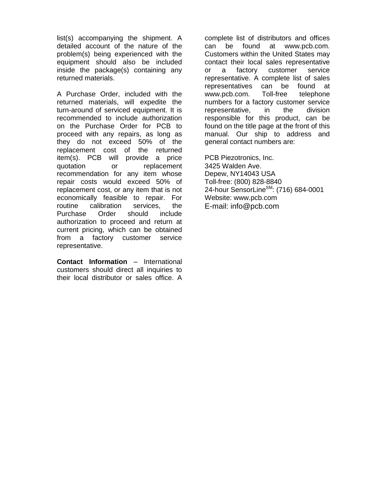list(s) accompanying the shipment. A detailed account of the nature of the problem(s) being experienced with the equipment should also be included inside the package(s) containing any returned materials.

A Purchase Order, included with the returned materials, will expedite the turn-around of serviced equipment. It is recommended to include authorization on the Purchase Order for PCB to proceed with any repairs, as long as they do not exceed 50% of the replacement cost of the returned item(s). PCB will provide a price quotation or replacement recommendation for any item whose repair costs would exceed 50% of replacement cost, or any item that is not economically feasible to repair. For routine calibration services, the Purchase Order should include authorization to proceed and return at current pricing, which can be obtained from a factory customer service representative.

**Contact Information** – International customers should direct all inquiries to their local distributor or sales office. A complete list of distributors and offices can be found at www.pcb.com. Customers within the United States may contact their local sales representative or a factory customer service representative. A complete list of sales representatives can be found at www.pcb.com. Toll-free telephone numbers for a factory customer service representative, in the division responsible for this product, can be found on the title page at the front of this manual. Our ship to address and general contact numbers are:

PCB Piezotronics, Inc. 3425 Walden Ave. Depew, NY14043 USA Toll-free: (800) 828-8840 24-hour SensorLine<sup>SM</sup>: (716) 684-0001 Website: www.pcb.com E-mail: info@pcb.com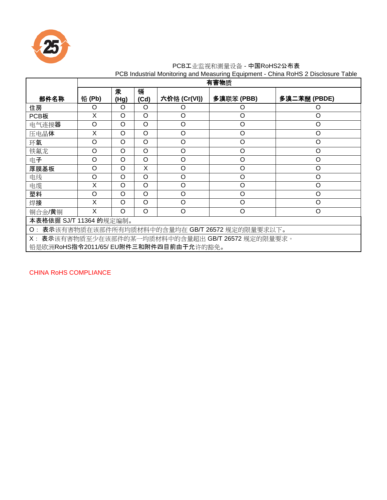

## PCB工业监视和测量设备 - 中国RoHS2公布表

|  |  | PCB Industrial Monitoring and Measuring Equipment - China RoHS 2 Disclosure Table |  |  |  |  |  |  |
|--|--|-----------------------------------------------------------------------------------|--|--|--|--|--|--|
|--|--|-----------------------------------------------------------------------------------|--|--|--|--|--|--|

|                                                                          | 有害物质     |           |           |              |            |              |  |  |  |  |
|--------------------------------------------------------------------------|----------|-----------|-----------|--------------|------------|--------------|--|--|--|--|
| 部件名称                                                                     | 铅(Pb)    | 汞<br>(Hg) | 镉<br>(Cd) | 六价铬 (Cr(VI)) | 多溴联苯 (PBB) | 多溴二苯醚 (PBDE) |  |  |  |  |
| 住房                                                                       | O        | O         | $\Omega$  | O            | O          | Ő            |  |  |  |  |
| PCB板                                                                     | X        | $\Omega$  | $\circ$   | O            | O          | O            |  |  |  |  |
| 电气连接器                                                                    | $\Omega$ | O         | $\circ$   | O            | O          | O            |  |  |  |  |
| 压电晶体                                                                     | X        | O         | $\circ$   | $\circ$      | O          | O            |  |  |  |  |
| $\circ$<br>$\Omega$<br>$\Omega$<br>$\circ$<br>$\Omega$<br>$\Omega$<br>环氧 |          |           |           |              |            |              |  |  |  |  |
| 铁氟龙                                                                      | $\Omega$ | $\Omega$  | $\circ$   | O            | O          | O            |  |  |  |  |
| 电子                                                                       | O        | O         | $\circ$   | O            | $\circ$    | O            |  |  |  |  |
| 厚膜基板                                                                     | $\Omega$ | $\Omega$  | X         | O            | $\circ$    | O            |  |  |  |  |
| $\circ$<br>$\circ$<br>O<br>O<br>O<br>O<br>电线                             |          |           |           |              |            |              |  |  |  |  |
| $\circ$<br>O<br>X<br>O<br>O<br>O<br>电缆                                   |          |           |           |              |            |              |  |  |  |  |
| $\circ$<br>$\Omega$<br>$\circ$<br>O<br>$\Omega$<br>O<br>塑料               |          |           |           |              |            |              |  |  |  |  |
| 焊接                                                                       | X        | $\Omega$  | O         | $\Omega$     | $\circ$    | O            |  |  |  |  |
| 铜合金/黄铜                                                                   | X        | $\Omega$  | $\Omega$  | $\Omega$     | $\circ$    | O            |  |  |  |  |
| 本表格依据 SJ/T 11364 的规定编制。                                                  |          |           |           |              |            |              |  |  |  |  |
| O: 表示该有害物质在该部件所有均质材料中的含量均在 GB/T 26572 规定的限量要求以下。                         |          |           |           |              |            |              |  |  |  |  |
| X: 表示该有害物质至少在该部件的某一均质材料中的含量超出 GB/T 26572 规定的限量要求。                        |          |           |           |              |            |              |  |  |  |  |
| 铅是欧洲RoHS指令2011/65/ EU附件三和附件四目前由于允许的豁免。                                   |          |           |           |              |            |              |  |  |  |  |

CHINA RoHS COMPLIANCE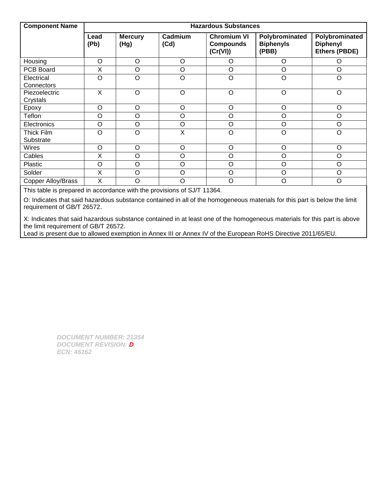| <b>Component Name</b>           | <b>Hazardous Substances</b> |                        |                 |                                                    |                                             |                                                    |  |  |
|---------------------------------|-----------------------------|------------------------|-----------------|----------------------------------------------------|---------------------------------------------|----------------------------------------------------|--|--|
|                                 | Lead<br>(Pb)                | <b>Mercury</b><br>(Hg) | Cadmium<br>(Cd) | <b>Chromium VI</b><br><b>Compounds</b><br>(Cr(VI)) | Polybrominated<br><b>Biphenyls</b><br>(PBB) | Polybrominated<br><b>Diphenyl</b><br>Ethers (PBDE) |  |  |
| Housing                         | $\circ$                     | O                      | $\circ$         | O                                                  | O                                           | O                                                  |  |  |
| PCB Board                       | X                           | O                      | $\circ$         | O                                                  | $\circ$                                     | $\circ$                                            |  |  |
| Electrical<br><b>Connectors</b> | O                           | O                      | $\circ$         | $\mathsf O$                                        | $\circ$                                     | $\circ$                                            |  |  |
| Piezoelectric<br>Crystals       | X                           | $\circ$                | $\circ$         | $\circ$                                            | $\circ$                                     | $\circ$                                            |  |  |
| Epoxy                           | $\circ$                     | $\circ$                | $\circ$         | $\circ$                                            | $\circ$                                     | $\circ$                                            |  |  |
| Teflon                          | O                           | O                      | O               | O                                                  | O                                           | O                                                  |  |  |
| Electronics                     | $\circ$                     | $\circ$                | O               | $\circ$                                            | $\circ$                                     | $\circ$                                            |  |  |
| Thick Film<br>Substrate         | $\Omega$                    | $\Omega$               | X               | $\circ$                                            | $\circ$                                     | $\circ$                                            |  |  |
| <b>Wires</b>                    | O                           | $\circ$                | $\circ$         | $\circ$                                            | O                                           | $\circ$                                            |  |  |
| Cables                          | X                           | O                      | O               | O                                                  | O                                           | O                                                  |  |  |
| Plastic                         | O                           | $\circ$                | $\circ$         | O                                                  | $\circ$                                     | $\circ$                                            |  |  |
| Solder                          | X                           | $\circ$                | $\circ$         | $\circ$                                            | $\circ$                                     | $\circ$                                            |  |  |
| <b>Copper Alloy/Brass</b>       | X                           | O                      | O               | O                                                  | $\circ$                                     | $\circ$                                            |  |  |

This table is prepared in accordance with the provisions of SJ/T 11364.

O: Indicates that said hazardous substance contained in all of the homogeneous materials for this part is below the limit requirement of GB/T 26572.

X: Indicates that said hazardous substance contained in at least one of the homogeneous materials for this part is above the limit requirement of GB/T 26572.

Lead is present due to allowed exemption in Annex III or Annex IV of the European RoHS Directive 2011/65/EU.

*DOCUMENT NUMBER: 21354 DOCUMENT REVISION: D ECN: 46162*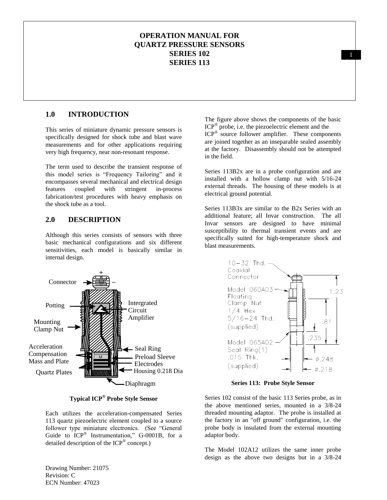## **OPERATION MANUAL FOR QUARTZ PRESSURE SENSORS SERIES 102 SERIES 113**

## **1.0 INTRODUCTION**

This series of miniature dynamic pressure sensors is specifically designed for shock tube and blast wave measurements and for other applications requiring very high frequency, near non-resonant response.

The term used to describe the transient response of this model series is "Frequency Tailoring" and it encompasses several mechanical and electrical design features coupled with stringent in-process fabrication/test procedures with heavy emphasis on the shock tube as a tool.

#### **2.0 DESCRIPTION**

Although this series consists of sensors with three basic mechanical configurations and six different sensitivities, each model is basically similar in internal design.



**Typical ICP® Probe Style Sensor**

Each utilizes the acceleration-compensated Series 113 quartz piezoelectric element coupled to a source follower type miniature electronics. (See "General Guide to  $ICP^{\otimes}$  Instrumentation," G-0001B, for a detailed description of the ICP® concept.)

The figure above shows the components of the basic ICP® probe, i.e. the piezoelectric element and the ICP<sup>®</sup> source follower amplifier. These components are joined together as an inseparable sealed assembly at the factory. Disassembly should not be attempted in the field.

Series 113B2x are in a probe configuration and are installed with a hollow clamp nut with 5/16-24 external threads. The housing of these models is at electrical ground potential.

Series 113B3x are similar to the B2x Series with an additional feature; all Invar construction. The all Invar sensors are designed to have minimal susceptibility to thermal transient events and are specifically suited for high-temperature shock and blast measurements.



**Series 113: Probe Style Sensor**

Series 102 consist of the basic 113 Series probe, as in the above mentioned series, mounted in a 3/8-24 threaded mounting adaptor. The probe is installed at the factory in an "off ground" configuration, i.e. the probe body is insulated from the external mounting adaptor body.

The Model 102A12 utilizes the same inner probe

Drawing Number: 21075 Revision: C ECN Number: 47023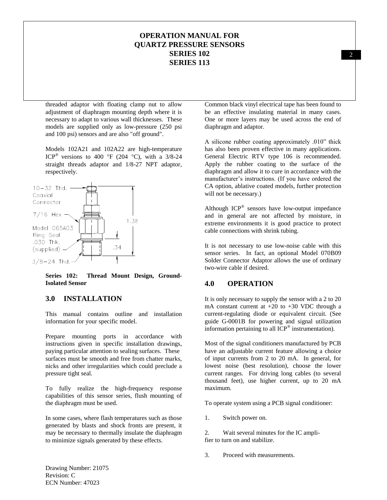## **OPERATION MANUAL FOR QUARTZ PRESSURE SENSORS SERIES 102 SERIES 113**

threaded adaptor with floating clamp nut to allow adjustment of diaphragm mounting depth where it is necessary to adapt to various wall thicknesses. These models are supplied only as low-pressure (250 psi and 100 psi) sensors and are also "off ground".

Models 102A21 and 102A22 are high-temperature ICP<sup>®</sup> versions to 400 °F (204 °C), with a 3/8-24 straight threads adaptor and 1/8-27 NPT adaptor, respectively.



**Series 102: Thread Mount Design, Ground-Isolated Sensor**

#### **3.0 INSTALLATION**

This manual contains outline and installation information for your specific model.

Prepare mounting ports in accordance with instructions given in specific installation drawings, paying particular attention to sealing surfaces. These surfaces must be smooth and free from chatter marks, nicks and other irregularities which could preclude a pressure tight seal.

To fully realize the high-frequency response capabilities of this sensor series, flush mounting of the diaphragm must be used.

In some cases, where flash temperatures such as those generated by blasts and shock fronts are present, it may be necessary to thermally insulate the diaphragm to minimize signals generated by these effects.

Common black vinyl electrical tape has been found to be an effective insulating material in many cases. One or more layers may be used across the end of diaphragm and adaptor.

A silicone rubber coating approximately .010" thick has also been proven effective in many applications. General Electric RTV type 106 is recommended. Apply the rubber coating to the surface of the diaphragm and allow it to cure in accordance with the manufacturer's instructions. (If you have ordered the CA option, ablative coated models, further protection will not be necessary.)

Although  $ICP^{\otimes}$  sensors have low-output impedance and in general are not affected by moisture, in extreme environments it is good practice to protect cable connections with shrink tubing.

It is not necessary to use low-noise cable with this sensor series. In fact, an optional Model 070B09 Solder Connector Adaptor allows the use of ordinary two-wire cable if desired.

#### **4.0 OPERATION**

It is only necessary to supply the sensor with a 2 to 20 mA constant current at  $+20$  to  $+30$  VDC through a current-regulating diode or equivalent circuit. (See guide G-0001B for powering and signal utilization information pertaining to all  $\text{ICP}^{\circledast}$  instrumentation).

Most of the signal conditioners manufactured by PCB have an adjustable current feature allowing a choice of input currents from 2 to 20 mA. In general, for lowest noise (best resolution), choose the lower current ranges. For driving long cables (to several thousand feet), use higher current, up to 20 mA maximum.

To operate system using a PCB signal conditioner:

1. Switch power on.

2. Wait several minutes for the IC amplifier to turn on and stabilize.

3. Proceed with measurements.

2

Drawing Number: 21075 Revision: C ECN Number: 47023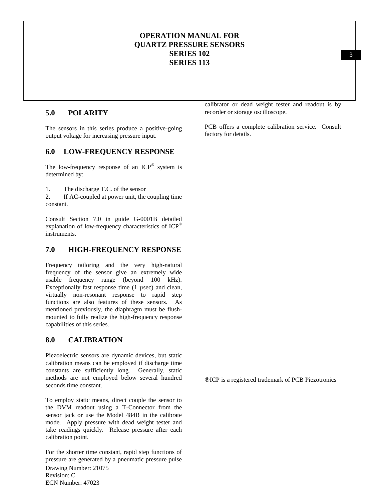## **OPERATION MANUAL FOR QUARTZ PRESSURE SENSORS SERIES 102 SERIES 113**

## **5.0 POLARITY**

The sensors in this series produce a positive-going output voltage for increasing pressure input.

### **6.0 LOW-FREQUENCY RESPONSE**

The low-frequency response of an  $ICP^{\otimes}$  system is determined by:

1. The discharge T.C. of the sensor

2. If AC-coupled at power unit, the coupling time constant.

Consult Section 7.0 in guide G-0001B detailed explanation of low-frequency characteristics of ICP® instruments.

#### **7.0 HIGH-FREQUENCY RESPONSE**

Frequency tailoring and the very high-natural frequency of the sensor give an extremely wide usable frequency range (beyond 100 kHz). Exceptionally fast response time (1 µsec) and clean, virtually non-resonant response to rapid step functions are also features of these sensors. As mentioned previously, the diaphragm must be flushmounted to fully realize the high-frequency response capabilities of this series.

#### **8.0 CALIBRATION**

Piezoelectric sensors are dynamic devices, but static calibration means can be employed if discharge time constants are sufficiently long. Generally, static methods are not employed below several hundred seconds time constant.

To employ static means, direct couple the sensor to the DVM readout using a T-Connector from the sensor jack or use the Model 484B in the calibrate mode. Apply pressure with dead weight tester and take readings quickly. Release pressure after each calibration point.

Drawing Number: 21075 Revision: C ECN Number: 47023 For the shorter time constant, rapid step functions of pressure are generated by a pneumatic pressure pulse calibrator or dead weight tester and readout is by recorder or storage oscilloscope.

PCB offers a complete calibration service. Consult factory for details.

ICP is a registered trademark of PCB Piezotronics

3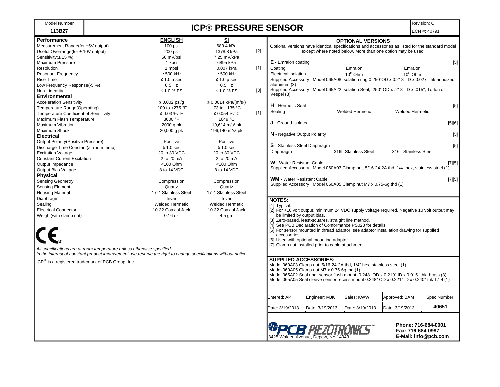| <b>Model Number</b>                                                                                                                                                                      |  |                        | <b>ICP® PRESSURE SENSOR</b>      |                                                                                                                      |                                   |                                                      |                                                                                                                                                                                       |                                           | Revision: C         |
|------------------------------------------------------------------------------------------------------------------------------------------------------------------------------------------|--|------------------------|----------------------------------|----------------------------------------------------------------------------------------------------------------------|-----------------------------------|------------------------------------------------------|---------------------------------------------------------------------------------------------------------------------------------------------------------------------------------------|-------------------------------------------|---------------------|
| 113B27                                                                                                                                                                                   |  |                        |                                  |                                                                                                                      |                                   |                                                      |                                                                                                                                                                                       |                                           | ECN #: 40791        |
| <b>Performance</b>                                                                                                                                                                       |  | <b>ENGLISH</b>         | SI                               |                                                                                                                      |                                   |                                                      | <b>OPTIONAL VERSIONS</b>                                                                                                                                                              |                                           |                     |
| Measurement Range(for ±5V output)                                                                                                                                                        |  | 100 psi                | 689.4 kPa                        |                                                                                                                      |                                   |                                                      | Optional versions have identical specifications and accessories as listed for the standard model                                                                                      |                                           |                     |
| Useful Overrange(for ± 10V output)                                                                                                                                                       |  | 200 psi                | 1378.8 kPa                       | $[2]$                                                                                                                |                                   |                                                      | except where noted below. More than one option may be used.                                                                                                                           |                                           |                     |
| Sensitivity( $\pm$ 15 %)                                                                                                                                                                 |  | 50 mV/psi              | 7.25 mV/kPa                      |                                                                                                                      |                                   |                                                      |                                                                                                                                                                                       |                                           |                     |
| Maximum Pressure                                                                                                                                                                         |  | 1 kpsi                 | 6895 kPa                         |                                                                                                                      | <b>E</b> - Emralon coating        |                                                      |                                                                                                                                                                                       |                                           | $[5]$               |
| Resolution                                                                                                                                                                               |  | 1 mpsi                 | 0.007 kPa                        | $[1]$                                                                                                                | Coating                           |                                                      | Emralon                                                                                                                                                                               | Emralon                                   |                     |
| Resonant Frequency                                                                                                                                                                       |  | $\geq 500$ kHz         | $\geq 500$ kHz                   |                                                                                                                      | <b>Electrical Isolation</b>       |                                                      | $10^8$ Ohm                                                                                                                                                                            | $10^8$ Ohm                                |                     |
| Rise Time                                                                                                                                                                                |  | $\leq 1.0 \mu$ sec     | $\leq 1.0 \mu$ sec               |                                                                                                                      |                                   |                                                      | Supplied Accessory: Model 065A08 Isolation ring 0.250"OD x 0.218" ID x 0.027" thk anodized                                                                                            |                                           |                     |
| Low Frequency Response(-5 %)                                                                                                                                                             |  | $0.5$ Hz               | $0.5$ Hz                         |                                                                                                                      | aluminum (3)                      |                                                      |                                                                                                                                                                                       |                                           |                     |
| Non-Linearity<br>Environmental                                                                                                                                                           |  | $\leq 1.0$ % FS        | $\leq 1.0$ % FS                  | $[3]$                                                                                                                | Vespel (3)                        |                                                      | Supplied Accessory : Model 065A22 Isolation Seal, .250" OD x .218" ID x .015", Torlon or                                                                                              |                                           |                     |
| <b>Acceleration Sensitivity</b>                                                                                                                                                          |  | $\leq 0.002$ psi/g     | ≤ 0.0014 kPa/(m/s <sup>2</sup> ) |                                                                                                                      |                                   |                                                      |                                                                                                                                                                                       |                                           |                     |
| Temperature Range(Operating)                                                                                                                                                             |  | -100 to +275 °F        | -73 to +135 $^{\circ}$ C         |                                                                                                                      | H - Hermetic Seal                 |                                                      |                                                                                                                                                                                       |                                           | $[5]$               |
| <b>Temperature Coefficient of Sensitivity</b>                                                                                                                                            |  | ≤ 0.03 %/°F            | ≤ 0.054 %/°C                     | $[1]$                                                                                                                | Sealing                           |                                                      | <b>Welded Hermetic</b>                                                                                                                                                                | <b>Welded Hermetic</b>                    |                     |
| Maximum Flash Temperature                                                                                                                                                                |  | 3000 °F                | 1649 °C                          |                                                                                                                      |                                   |                                                      |                                                                                                                                                                                       |                                           |                     |
| <b>Maximum Vibration</b>                                                                                                                                                                 |  | 2000 g pk              | 19,614 m/s <sup>2</sup> pk       |                                                                                                                      | <b>J</b> - Ground Isolated        |                                                      |                                                                                                                                                                                       |                                           | [5][6]              |
| Maximum Shock                                                                                                                                                                            |  | 20,000 g pk            | 196,140 m/s <sup>2</sup> pk      |                                                                                                                      |                                   |                                                      |                                                                                                                                                                                       |                                           |                     |
| <b>Electrical</b>                                                                                                                                                                        |  |                        |                                  |                                                                                                                      | N - Negative Output Polarity      |                                                      |                                                                                                                                                                                       |                                           | $[5]$               |
| <b>Output Polarity (Positive Pressure)</b>                                                                                                                                               |  | Positive               | Positive                         |                                                                                                                      |                                   |                                                      |                                                                                                                                                                                       |                                           |                     |
| Discharge Time Constant(at room temp)                                                                                                                                                    |  | $\geq 1.0$ sec         | $\geq 1.0$ sec                   |                                                                                                                      | S - Stainless Steel Diaphragm     |                                                      |                                                                                                                                                                                       |                                           | $[5]$               |
| <b>Excitation Voltage</b>                                                                                                                                                                |  | 20 to 30 VDC           | 20 to 30 VDC                     |                                                                                                                      | Diaphragm                         |                                                      | 316L Stainless Steel                                                                                                                                                                  | 316L Stainless Steel                      |                     |
| <b>Constant Current Excitation</b>                                                                                                                                                       |  | 2 to 20 mA             | 2 to 20 mA                       |                                                                                                                      |                                   |                                                      |                                                                                                                                                                                       |                                           |                     |
| Output Impedance                                                                                                                                                                         |  | $<$ 100 Ohm            | <100 Ohm                         |                                                                                                                      | <b>W</b> - Water Resistant Cable  |                                                      |                                                                                                                                                                                       |                                           | $[7][5]$            |
| Output Bias Voltage<br>Physical                                                                                                                                                          |  | 8 to 14 VDC            | 8 to 14 VDC                      |                                                                                                                      |                                   |                                                      | Supplied Accessory: Model 060A03 Clamp nut, 5/16-24-2A thd, 1/4" hex, stainless steel (1)                                                                                             |                                           |                     |
| <b>Sensing Geometry</b>                                                                                                                                                                  |  | Compression            | Compression                      |                                                                                                                      | <b>WM</b> - Water Resistant Cable |                                                      |                                                                                                                                                                                       |                                           | $[7][5]$            |
| <b>Sensing Element</b>                                                                                                                                                                   |  | Quartz                 | Quartz                           |                                                                                                                      |                                   |                                                      | Supplied Accessory: Model 060A05 Clamp nut M7 x 0.75-6g thd (1)                                                                                                                       |                                           |                     |
| <b>Housing Material</b>                                                                                                                                                                  |  | 17-4 Stainless Steel   | 17-4 Stainless Steel             |                                                                                                                      |                                   |                                                      |                                                                                                                                                                                       |                                           |                     |
| Diaphragm                                                                                                                                                                                |  | Invar                  | Invar                            |                                                                                                                      | <b>NOTES:</b>                     |                                                      |                                                                                                                                                                                       |                                           |                     |
| Sealing                                                                                                                                                                                  |  | <b>Welded Hermetic</b> | <b>Welded Hermetic</b>           |                                                                                                                      | [1] Typical.                      |                                                      |                                                                                                                                                                                       |                                           |                     |
| <b>Electrical Connector</b>                                                                                                                                                              |  | 10-32 Coaxial Jack     | 10-32 Coaxial Jack               |                                                                                                                      |                                   |                                                      | [2] For +10 volt output, minimum 24 VDC supply voltage required. Negative 10 volt output may                                                                                          |                                           |                     |
| Weight(with clamp nut)                                                                                                                                                                   |  | $0.16$ oz              | $4.5$ gm                         |                                                                                                                      | be limited by output bias.        |                                                      |                                                                                                                                                                                       |                                           |                     |
|                                                                                                                                                                                          |  |                        |                                  |                                                                                                                      |                                   | [3] Zero-based, least-squares, straight line method. |                                                                                                                                                                                       |                                           |                     |
|                                                                                                                                                                                          |  |                        |                                  |                                                                                                                      |                                   |                                                      | [4] See PCB Declaration of Conformance PS023 for details.                                                                                                                             |                                           |                     |
|                                                                                                                                                                                          |  |                        |                                  |                                                                                                                      | accessories.                      |                                                      | [5] For sensor mounted in thread adaptor, see adaptor installation drawing for supplied                                                                                               |                                           |                     |
|                                                                                                                                                                                          |  |                        |                                  |                                                                                                                      |                                   | [6] Used with optional mounting adaptor.             |                                                                                                                                                                                       |                                           |                     |
|                                                                                                                                                                                          |  |                        |                                  |                                                                                                                      |                                   | [7] Clamp nut installed prior to cable attachment    |                                                                                                                                                                                       |                                           |                     |
| All specifications are at room temperature unless otherwise specified.<br>In the interest of constant product improvement, we reserve the right to change specifications without notice. |  |                        |                                  |                                                                                                                      |                                   |                                                      |                                                                                                                                                                                       |                                           |                     |
| ICP <sup>®</sup> is a registered trademark of PCB Group, Inc.                                                                                                                            |  |                        |                                  |                                                                                                                      | <b>SUPPLIED ACCESSORIES:</b>      |                                                      |                                                                                                                                                                                       |                                           |                     |
|                                                                                                                                                                                          |  |                        |                                  | Model 060A03 Clamp nut, 5/16-24-2A thd, 1/4" hex, stainless steel (1)<br>Model 060A05 Clamp nut M7 x 0.75-6g thd (1) |                                   |                                                      |                                                                                                                                                                                       |                                           |                     |
|                                                                                                                                                                                          |  |                        |                                  |                                                                                                                      |                                   |                                                      |                                                                                                                                                                                       |                                           |                     |
|                                                                                                                                                                                          |  |                        |                                  |                                                                                                                      |                                   |                                                      | Model 065A02 Seal ring, sensor flush mount, 0.248" OD x 0.219" ID x 0.015" thk, brass (3)<br>Model 065A05 Seal sleeve sensor recess mount 0.248" OD x 0.221" ID x 0.240" thk 17-4 (1) |                                           |                     |
|                                                                                                                                                                                          |  |                        |                                  |                                                                                                                      |                                   |                                                      |                                                                                                                                                                                       |                                           |                     |
|                                                                                                                                                                                          |  |                        |                                  |                                                                                                                      | Entered: AP                       | Engineer: MJK                                        | Sales: KWW                                                                                                                                                                            | Approved: BAM                             | Spec Number:        |
|                                                                                                                                                                                          |  |                        |                                  |                                                                                                                      | Date: 3/19/2013                   | Date: 3/19/2013                                      | Date: 3/19/2013                                                                                                                                                                       | Date: 3/19/2013                           | 40651               |
|                                                                                                                                                                                          |  |                        |                                  |                                                                                                                      | <b>SPCB</b> PIEZOTRONICS"         | 3425 Walden Avenue. Depew. NY 14043                  |                                                                                                                                                                                       | Fax: 716-684-0987<br>E-Mail: info@pcb.com | Phone: 716-684-0001 |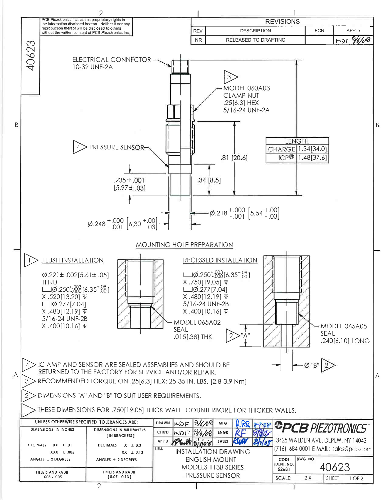